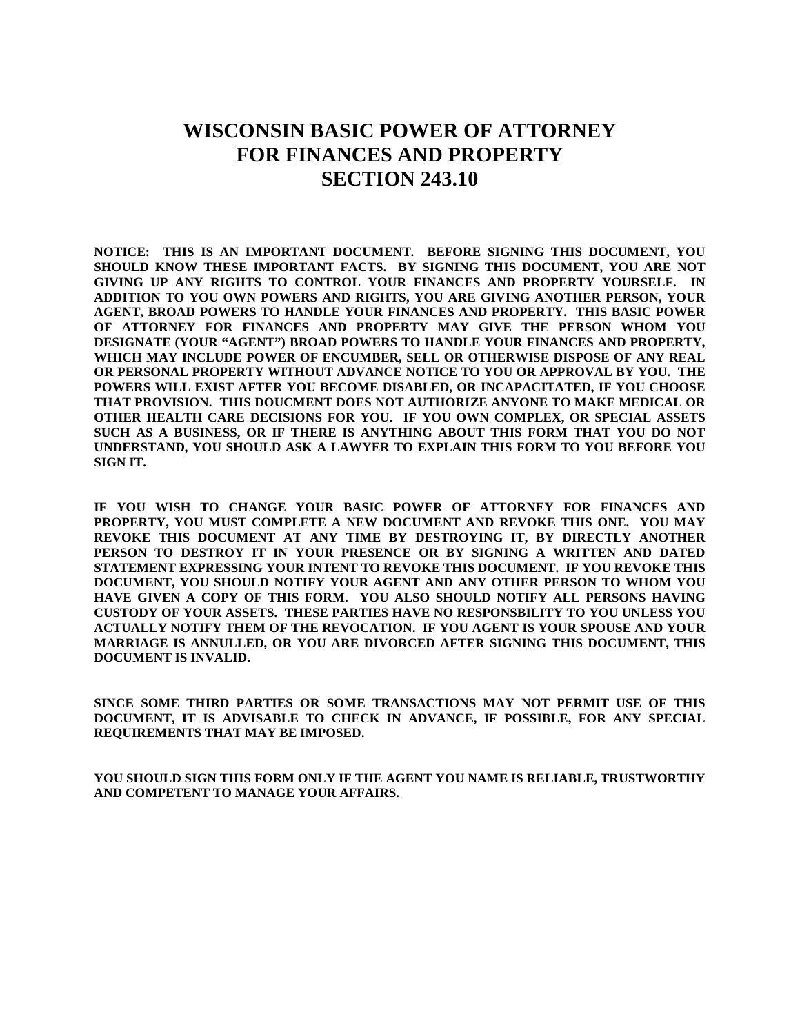# **WISCONSIN BASIC POWER OF ATTORNEY FOR FINANCES AND PROPERTY SECTION 243.10**

**NOTICE: THIS IS AN IMPORTANT DOCUMENT. BEFORE SIGNING THIS DOCUMENT, YOU SHOULD KNOW THESE IMPORTANT FACTS. BY SIGNING THIS DOCUMENT, YOU ARE NOT GIVING UP ANY RIGHTS TO CONTROL YOUR FINANCES AND PROPERTY YOURSELF. IN ADDITION TO YOU OWN POWERS AND RIGHTS, YOU ARE GIVING ANOTHER PERSON, YOUR AGENT, BROAD POWERS TO HANDLE YOUR FINANCES AND PROPERTY. THIS BASIC POWER OF ATTORNEY FOR FINANCES AND PROPERTY MAY GIVE THE PERSON WHOM YOU DESIGNATE (YOUR "AGENT") BROAD POWERS TO HANDLE YOUR FINANCES AND PROPERTY, WHICH MAY INCLUDE POWER OF ENCUMBER, SELL OR OTHERWISE DISPOSE OF ANY REAL OR PERSONAL PROPERTY WITHOUT ADVANCE NOTICE TO YOU OR APPROVAL BY YOU. THE POWERS WILL EXIST AFTER YOU BECOME DISABLED, OR INCAPACITATED, IF YOU CHOOSE THAT PROVISION. THIS DOUCMENT DOES NOT AUTHORIZE ANYONE TO MAKE MEDICAL OR OTHER HEALTH CARE DECISIONS FOR YOU. IF YOU OWN COMPLEX, OR SPECIAL ASSETS SUCH AS A BUSINESS, OR IF THERE IS ANYTHING ABOUT THIS FORM THAT YOU DO NOT UNDERSTAND, YOU SHOULD ASK A LAWYER TO EXPLAIN THIS FORM TO YOU BEFORE YOU SIGN IT.**

**IF YOU WISH TO CHANGE YOUR BASIC POWER OF ATTORNEY FOR FINANCES AND PROPERTY, YOU MUST COMPLETE A NEW DOCUMENT AND REVOKE THIS ONE. YOU MAY REVOKE THIS DOCUMENT AT ANY TIME BY DESTROYING IT, BY DIRECTLY ANOTHER PERSON TO DESTROY IT IN YOUR PRESENCE OR BY SIGNING A WRITTEN AND DATED STATEMENT EXPRESSING YOUR INTENT TO REVOKE THIS DOCUMENT. IF YOU REVOKE THIS DOCUMENT, YOU SHOULD NOTIFY YOUR AGENT AND ANY OTHER PERSON TO WHOM YOU HAVE GIVEN A COPY OF THIS FORM. YOU ALSO SHOULD NOTIFY ALL PERSONS HAVING CUSTODY OF YOUR ASSETS. THESE PARTIES HAVE NO RESPONSBILITY TO YOU UNLESS YOU ACTUALLY NOTIFY THEM OF THE REVOCATION. IF YOU AGENT IS YOUR SPOUSE AND YOUR MARRIAGE IS ANNULLED, OR YOU ARE DIVORCED AFTER SIGNING THIS DOCUMENT, THIS DOCUMENT IS INVALID.**

**SINCE SOME THIRD PARTIES OR SOME TRANSACTIONS MAY NOT PERMIT USE OF THIS DOCUMENT, IT IS ADVISABLE TO CHECK IN ADVANCE, IF POSSIBLE, FOR ANY SPECIAL REQUIREMENTS THAT MAY BE IMPOSED.**

**YOU SHOULD SIGN THIS FORM ONLY IF THE AGENT YOU NAME IS RELIABLE, TRUSTWORTHY AND COMPETENT TO MANAGE YOUR AFFAIRS.**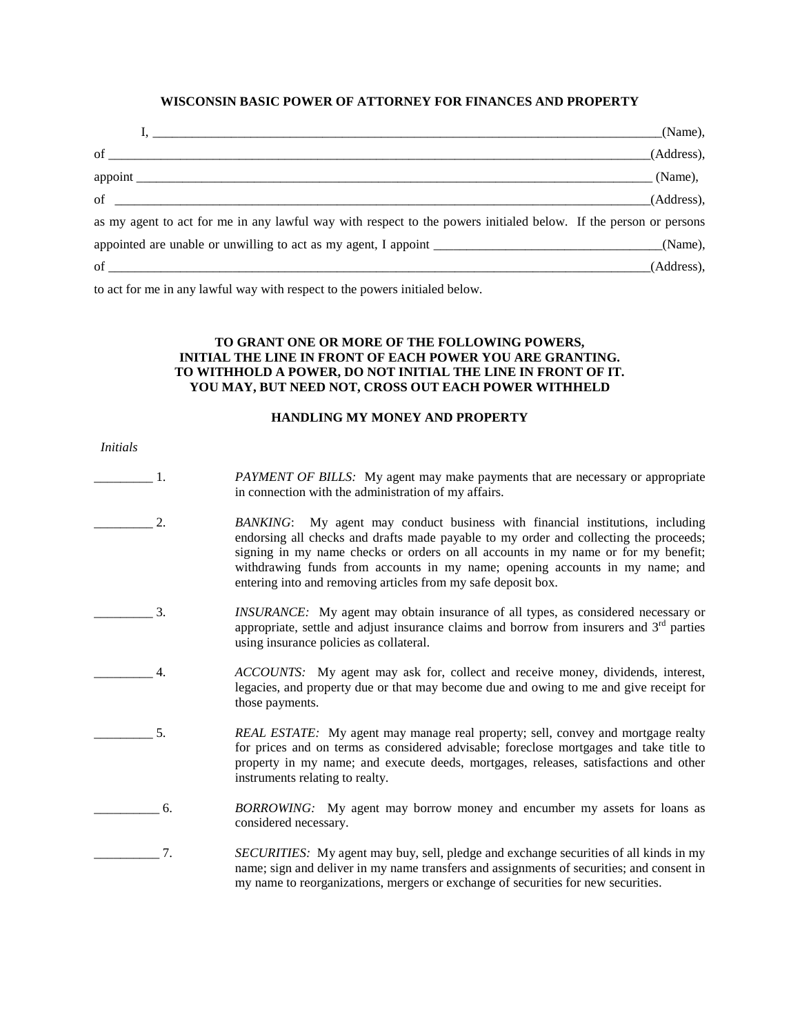# **WISCONSIN BASIC POWER OF ATTORNEY FOR FINANCES AND PROPERTY**

|                                                                                                                  | (Name),    |
|------------------------------------------------------------------------------------------------------------------|------------|
|                                                                                                                  | (Address), |
| $\qquad \qquad \qquad \qquad \text{(Name)},$                                                                     |            |
| of $\overline{\phantom{a}}$                                                                                      | (Address), |
| as my agent to act for me in any lawful way with respect to the powers initialed below. If the person or persons |            |
|                                                                                                                  |            |
| $of$ $\overline{\phantom{a}}$                                                                                    | (Address), |

to act for me in any lawful way with respect to the powers initialed below.

## **TO GRANT ONE OR MORE OF THE FOLLOWING POWERS, INITIAL THE LINE IN FRONT OF EACH POWER YOU ARE GRANTING. TO WITHHOLD A POWER, DO NOT INITIAL THE LINE IN FRONT OF IT. YOU MAY, BUT NEED NOT, CROSS OUT EACH POWER WITHHELD**

#### **HANDLING MY MONEY AND PROPERTY**

- *Initials*
- \_\_\_\_\_\_\_\_\_ 1. *PAYMENT OF BILLS:* My agent may make payments that are necessary or appropriate in connection with the administration of my affairs.
- \_\_\_\_\_\_\_\_\_ 2. *BANKING*: My agent may conduct business with financial institutions, including endorsing all checks and drafts made payable to my order and collecting the proceeds; signing in my name checks or orders on all accounts in my name or for my benefit; withdrawing funds from accounts in my name; opening accounts in my name; and entering into and removing articles from my safe deposit box.
- \_\_\_\_\_\_\_\_\_ 3. *INSURANCE:* My agent may obtain insurance of all types, as considered necessary or appropriate, settle and adjust insurance claims and borrow from insurers and 3rd parties using insurance policies as collateral.
- \_\_\_\_\_\_\_\_\_ 4. *ACCOUNTS:* My agent may ask for, collect and receive money, dividends, interest, legacies, and property due or that may become due and owing to me and give receipt for those payments.
- \_\_\_\_\_\_\_\_\_ 5. *REAL ESTATE:* My agent may manage real property; sell, convey and mortgage realty for prices and on terms as considered advisable; foreclose mortgages and take title to property in my name; and execute deeds, mortgages, releases, satisfactions and other instruments relating to realty.
- \_\_\_\_\_\_\_\_\_\_ 6. *BORROWING:* My agent may borrow money and encumber my assets for loans as considered necessary.
- \_\_\_\_\_\_\_\_\_\_ 7. *SECURITIES:* My agent may buy, sell, pledge and exchange securities of all kinds in my name; sign and deliver in my name transfers and assignments of securities; and consent in my name to reorganizations, mergers or exchange of securities for new securities.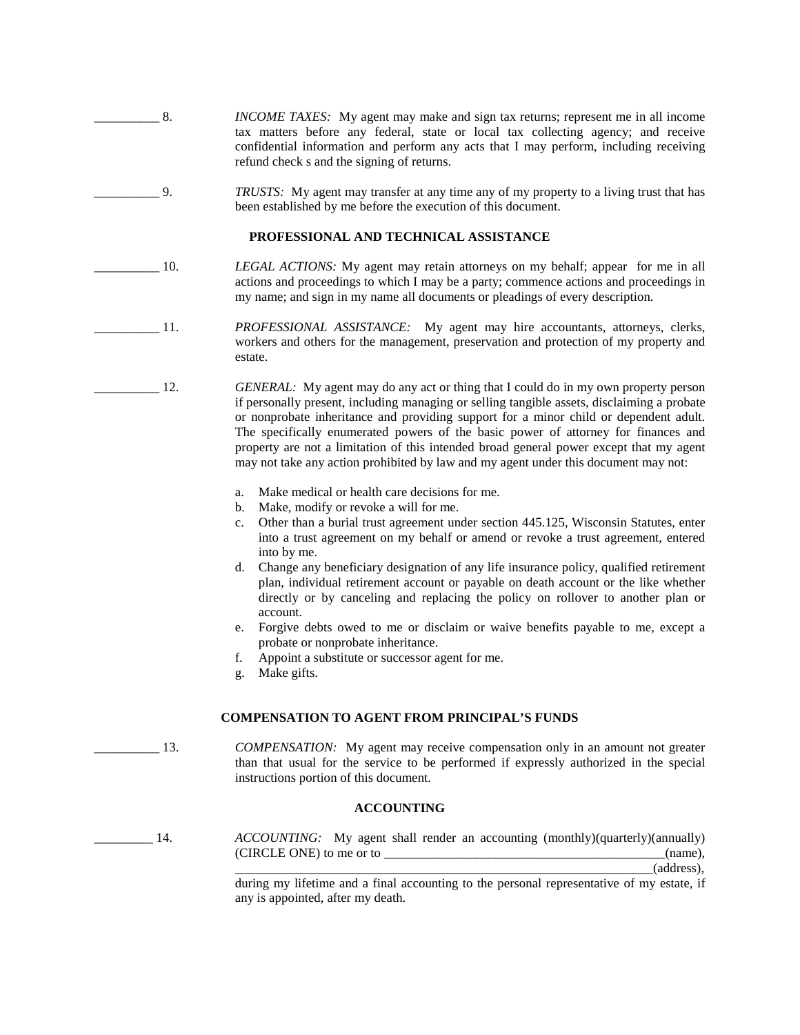- \_\_\_\_\_\_\_\_\_\_ 8. *INCOME TAXES:* My agent may make and sign tax returns; represent me in all income tax matters before any federal, state or local tax collecting agency; and receive confidential information and perform any acts that I may perform, including receiving refund check s and the signing of returns.
	- \_\_\_\_\_\_\_\_\_\_ 9. *TRUSTS:* My agent may transfer at any time any of my property to a living trust that has been established by me before the execution of this document.

#### **PROFESSIONAL AND TECHNICAL ASSISTANCE**

- \_\_\_\_\_\_\_\_\_\_ 10. *LEGAL ACTIONS:* My agent may retain attorneys on my behalf; appear for me in all actions and proceedings to which I may be a party; commence actions and proceedings in my name; and sign in my name all documents or pleadings of every description.
	- 11. *PROFESSIONAL ASSISTANCE:* My agent may hire accountants, attorneys, clerks, workers and others for the management, preservation and protection of my property and estate.
- 12. *GENERAL:* My agent may do any act or thing that I could do in my own property person if personally present, including managing or selling tangible assets, disclaiming a probate or nonprobate inheritance and providing support for a minor child or dependent adult. The specifically enumerated powers of the basic power of attorney for finances and property are not a limitation of this intended broad general power except that my agent may not take any action prohibited by law and my agent under this document may not:
	- a. Make medical or health care decisions for me.
	- b. Make, modify or revoke a will for me.
	- c. Other than a burial trust agreement under section 445.125, Wisconsin Statutes, enter into a trust agreement on my behalf or amend or revoke a trust agreement, entered into by me.
	- d. Change any beneficiary designation of any life insurance policy, qualified retirement plan, individual retirement account or payable on death account or the like whether directly or by canceling and replacing the policy on rollover to another plan or account.
	- e. Forgive debts owed to me or disclaim or waive benefits payable to me, except a probate or nonprobate inheritance.
	- f. Appoint a substitute or successor agent for me.
	- g. Make gifts.

#### **COMPENSATION TO AGENT FROM PRINCIPAL'S FUNDS**

\_\_\_\_\_\_\_\_\_\_ 13. *COMPENSATION:* My agent may receive compensation only in an amount not greater than that usual for the service to be performed if expressly authorized in the special instructions portion of this document.

#### **ACCOUNTING**

14. *ACCOUNTING:* My agent shall render an accounting (monthly)(quarterly)(annually) (CIRCLE ONE) to me or to \_\_\_\_\_\_\_\_\_\_\_\_\_\_\_\_\_\_\_\_\_\_\_\_\_\_\_\_\_\_\_\_\_\_\_\_\_\_\_\_\_\_\_(name),

\_\_\_\_\_\_\_\_\_\_\_\_\_\_\_\_\_\_\_\_\_\_\_\_\_\_\_\_\_\_\_\_\_\_\_\_\_\_\_\_\_\_\_\_\_\_\_\_\_\_\_\_\_\_\_\_\_\_\_\_\_\_\_\_(address),

during my lifetime and a final accounting to the personal representative of my estate, if any is appointed, after my death.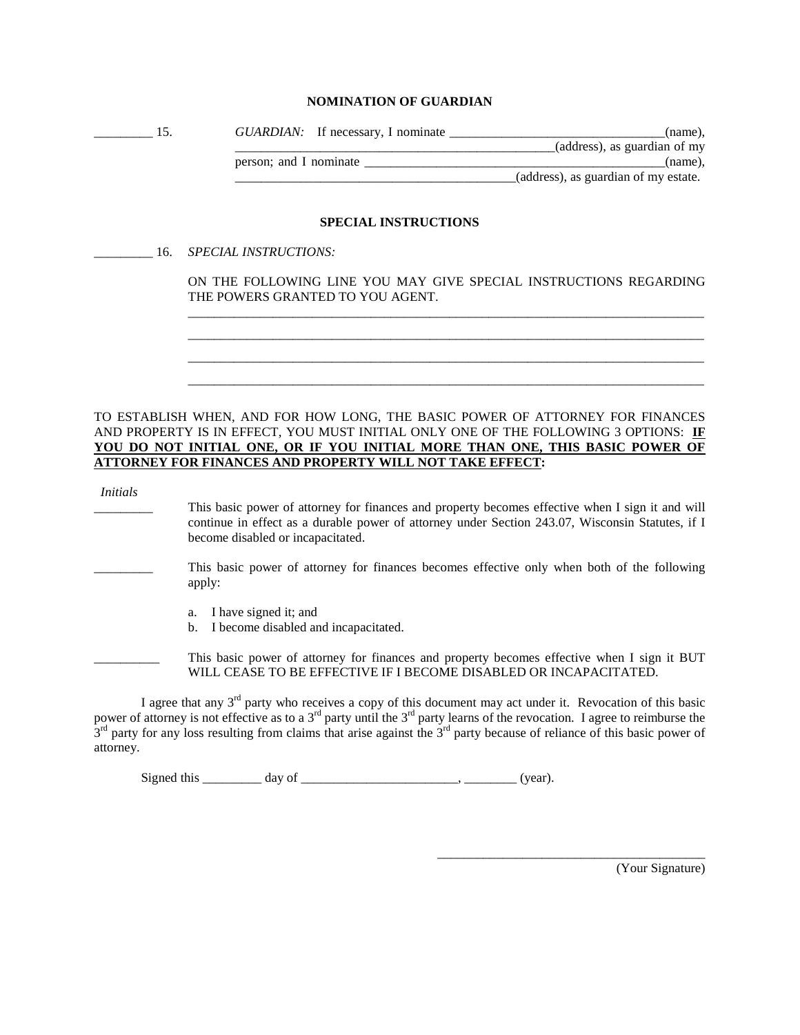## **NOMINATION OF GUARDIAN**

| GUARDIAN: If necessary, I nominate | (name),                              |
|------------------------------------|--------------------------------------|
|                                    | (address), as guardian of my         |
| person; and I nominate             | (name).                              |
|                                    | (address), as guardian of my estate. |

### **SPECIAL INSTRUCTIONS**

\_\_\_\_\_\_\_\_\_ 16. *SPECIAL INSTRUCTIONS:*

ON THE FOLLOWING LINE YOU MAY GIVE SPECIAL INSTRUCTIONS REGARDING THE POWERS GRANTED TO YOU AGENT. \_\_\_\_\_\_\_\_\_\_\_\_\_\_\_\_\_\_\_\_\_\_\_\_\_\_\_\_\_\_\_\_\_\_\_\_\_\_\_\_\_\_\_\_\_\_\_\_\_\_\_\_\_\_\_\_\_\_\_\_\_\_\_\_\_\_\_\_\_\_\_\_\_\_\_\_\_\_\_

\_\_\_\_\_\_\_\_\_\_\_\_\_\_\_\_\_\_\_\_\_\_\_\_\_\_\_\_\_\_\_\_\_\_\_\_\_\_\_\_\_\_\_\_\_\_\_\_\_\_\_\_\_\_\_\_\_\_\_\_\_\_\_\_\_\_\_\_\_\_\_\_\_\_\_\_\_\_\_ \_\_\_\_\_\_\_\_\_\_\_\_\_\_\_\_\_\_\_\_\_\_\_\_\_\_\_\_\_\_\_\_\_\_\_\_\_\_\_\_\_\_\_\_\_\_\_\_\_\_\_\_\_\_\_\_\_\_\_\_\_\_\_\_\_\_\_\_\_\_\_\_\_\_\_\_\_\_\_ \_\_\_\_\_\_\_\_\_\_\_\_\_\_\_\_\_\_\_\_\_\_\_\_\_\_\_\_\_\_\_\_\_\_\_\_\_\_\_\_\_\_\_\_\_\_\_\_\_\_\_\_\_\_\_\_\_\_\_\_\_\_\_\_\_\_\_\_\_\_\_\_\_\_\_\_\_\_\_

TO ESTABLISH WHEN, AND FOR HOW LONG, THE BASIC POWER OF ATTORNEY FOR FINANCES AND PROPERTY IS IN EFFECT, YOU MUST INITIAL ONLY ONE OF THE FOLLOWING 3 OPTIONS: **IF YOU DO NOT INITIAL ONE, OR IF YOU INITIAL MORE THAN ONE, THIS BASIC POWER OF ATTORNEY FOR FINANCES AND PROPERTY WILL NOT TAKE EFFECT:**

|  | Initials |  |
|--|----------|--|

- This basic power of attorney for finances and property becomes effective when I sign it and will continue in effect as a durable power of attorney under Section 243.07, Wisconsin Statutes, if I become disabled or incapacitated.
- This basic power of attorney for finances becomes effective only when both of the following apply:
	- a. I have signed it; and
	- b. I become disabled and incapacitated.

This basic power of attorney for finances and property becomes effective when I sign it BUT WILL CEASE TO BE EFFECTIVE IF I BECOME DISABLED OR INCAPACITATED.

I agree that any  $3<sup>rd</sup>$  party who receives a copy of this document may act under it. Revocation of this basic power of attorney is not effective as to a  $3^{rd}$  party until the  $3^{rd}$  party learns of the revocation. I agree to reimburse the  $3<sup>rd</sup>$  party for any loss resulting from claims that arise against the  $3<sup>rd</sup>$  party because of reliance of this basic power of attorney.

Signed this \_\_\_\_\_\_\_\_ day of \_\_\_\_\_\_\_\_\_\_\_\_\_\_\_\_\_\_\_\_\_\_\_\_\_\_, \_\_\_\_\_\_\_\_\_ (year).

(Your Signature)

\_\_\_\_\_\_\_\_\_\_\_\_\_\_\_\_\_\_\_\_\_\_\_\_\_\_\_\_\_\_\_\_\_\_\_\_\_\_\_\_\_